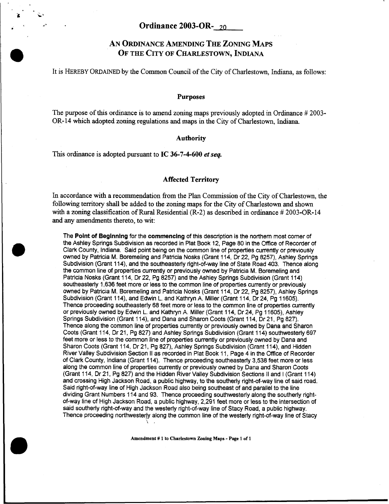## **AN ORDINANCE AMENDING THE ZONING MAPS OF THE CITY OF CHARLESTOWN, INDIANA**

It is HEREBY **ORDAINED** by the Common Council of the City of Charlestown, Indiana, as follows:

## **Purposes**

The purpose of this ordinance is to amend zoning maps previously adopted in Ordinance # 2003- OR-14 which adopted zoning regulations **and** maps in the City of Charlestown, Indiana.

## **Authority**

This ordinance is adopted pursuant to **IC 36-7-4-600** *et seq.* 

## **Affected Territory**

In accordance with a recommendation from the Plan Commission of the City of Charlestown, the following territory shall be added to the zoning maps for the City of Charlestown and shown with a zoning classification of Rural Residential (R-2) as described in ordinance # 2003-OR-14 and any amendments thereto, to wit:

The **Point of Beginning** for the **commencing** of this description is the northern most comer of the Ashley Springs Subdivision as recorded in Plat Book 12, Page 80 in the Office of Recorder of Clark County, Indiana. Said point being on the common line of properties currently or previously owned by Patricia M. Boremeling and Patricia Nosks (Grant 114, Dr 22, Pg 8257), Ashley Springs Subdivision (Grant 114), and the southeasterly right-of-way line of State Road 403. Thence along the common line of properties currently or previously owned by Patricia M. Boremeling and Patricia Nosks (Grant 114, Dr 22, Pg 8257) and the Ashley Springs Subdivision (Grant 114) southeasterly 1,636 feet more or less to the common line of properties currently or previously owned by Patricia M. Boremeling and Patricia Nosks (Grant 114, Dr 22, Pg 8257), Ashley Springs Subdivision (Grant 114), and Edwin L. and Kathryn A. Miller (Grant 114, Dr 24, Pg 11605). Thence proceeding southeasterly 68 feet more or less to the common line *of* properties currently or previously owned by Edwin L. and Kathryn A. Miller (Grant 114, Dr 24, Pg 11605), Ashley Springs Subdivision (Grant 114), and Dana and Sharon Coots (Grant 114, Dr 21, Pg 827). Thence along the common line of properties currently or previously owned by Dana and Sharon Coots (Grant 114, Dr 21, Pg 827) and Ashley Springs Subdivision (Grant 114) southwesterly 697 feet more or less to the common line of properties currently or previously owned by Dana and Sharon Coots (Grant 114, Dr 21, Pg 827), Ashley Springs Subdivision (Grant 114), and Hidden River Valley Subdivision Section II as recorded in Plat Book 1 1, Page 4 in the Office of Recorder of Clark County, Indiana (Grant 114). Thence proceeding southeasterly 3,538 feet more or less along the common line of properties currently or previously owned by Dana and Sharon Coots (Grant 114, Dr 21, Pg 827) and the Hidden River Valley Subdivision Sections II and I (Grant 114) and crossing High Jackson Road, a public highway, to the southerly right-of-way line of said road. Said right-of-way line of High Jackson Road also being southeast of and parallel to the line dividing Grant Numbers 114 and 93. Thence proceeding southwesterly along the southerly rightof-way line of High Jackson Road, a public highway, 2,291 feet more or less to the intersection of said southerly right-of-way and the westerly right-of-way line of Stacy Road, a public highway. Thence proceeding northwesterly along the common line of the westerly right-of-way line of Stacy

**Amendment** # **1 to Charlestown Zoning Maps** - **Page 1 of 1**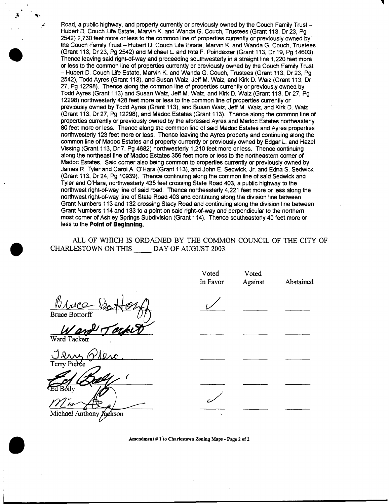Road, a public highway, and property currently or previously owned by the Couch Family Trust -Hubert D. Couch Life Estate, Marvin K. and Wanda G. Couch, Trustees (Grant 113, Dr 23, Pg 2542) 2,730 feet more or less to the common line of properties currently or previously owned by the Couch Family Trust - Hubert D. Couch Life Estate, Marvin K. and Wanda G. Couch, Trustees (Grant 113, Dr 23, Pg 2542) and Michael **L.** and Rita F. Poindexter (Grant 113, Dr 19, Pg 14603). Thence leaving said right-of-way and proceeding southwesterly in a straight line 1,220 feet more or less to the common line of properties currently or previously owned by the Couch Family Trust - Hubert D. Couch Life Estate, Marvin K. and Wanda G. Couch, Trustees (Grant 113, Dr 23, Pg 2542), Todd Ayres (Grant 113), and Susan Waiz, Jeff M. Waiz, and Kirk D. Waiz (Grant 113, Dr 27, Pg 12298). Thence along the common line of properties currently or previously owned by Todd Ayres (Grant 113) and Susan Waiz, Jeff M. Waiz, and Kirk D. Waiz (Grant 113, Dr 27, Pg 12298) northwesterly 428 feet more or less to the common line of properties currently or previously owned by Todd Ayres (Grant 113), and Susan Waiz, Jeff M. Waiz, and Kirk D. Waiz (Grant 113, Dr 27, Pg 12298), and Madoc Estates (Grant 113). Thence along the common line of properties currently or previously owned by the aforesaid Ayres and Madoc Estates northeasterly 80 feet more or less. Thence along the common line of said Madoc Estates and Ayres properties northwesterly 123 feet more or less. Thence leaving the Ayres property and continuing along the common line of Madoc Estates and property currently or previously owned by Edgar L. and Hazel Vissing (Grant 1 13, Dr 7, Pg 4682) northwesterly 1,210 feet more or less. Thence continuing along the northeast line of Madoc Estates 356 feet more or less to the northeastem comer of Madoc Estates. Said comer also being common to properties currently or previously owned by James R. Tyler and Carol **A.** O'Hara (Grant 113), and John **E.** Sedwick, Jr. and Edna *S.* Sedwick (Grant 113, Dr 24, Pg 10939). Thence continuing along the common line **of** said Sedwick and Tyler and O'Hara northwesterly 435 feet crossing State Road 403, a public highway to the northwest right-of-way line of said road. Thence northeasterly 4,221 feet more or less along the northwest right-of-way line **of** State Road 403 and continuing along the division line between Grant Numbers 113 and 132 crossing Stacy Road and continuing along the division line between Grant Numbers 114 and 133 to a point on said right-of-way and perpendicular to the northern most comer of Ashley Springs Subdivision (Grant 114). Thence southeasterly 40 feet more or less to the **Point of Beginning.** 

ALL OF WHICH IS ORDAINED BY THE COMMON COUNCIL OF THE CITY OF CHARLESTOWN ON THIS DAY OF AUGUST 2003.

|                                                   | Voted<br>In Favor        | Voted<br>Against | Abstained |
|---------------------------------------------------|--------------------------|------------------|-----------|
| Bive<br><b>Bruce Bottorff</b>                     |                          |                  |           |
| $\overline{\phantom{a}}$<br>Ward.<br>Ward Tackett |                          |                  |           |
| Terry Pierce                                      |                          |                  |           |
| <b>Ed Bólly</b>                                   |                          |                  |           |
| Michael Anthony Jackson                           | $\overline{\phantom{a}}$ |                  |           |

**Amendment** # **1 to Charlestown Zoning Maps** - **Page 2 of 2**